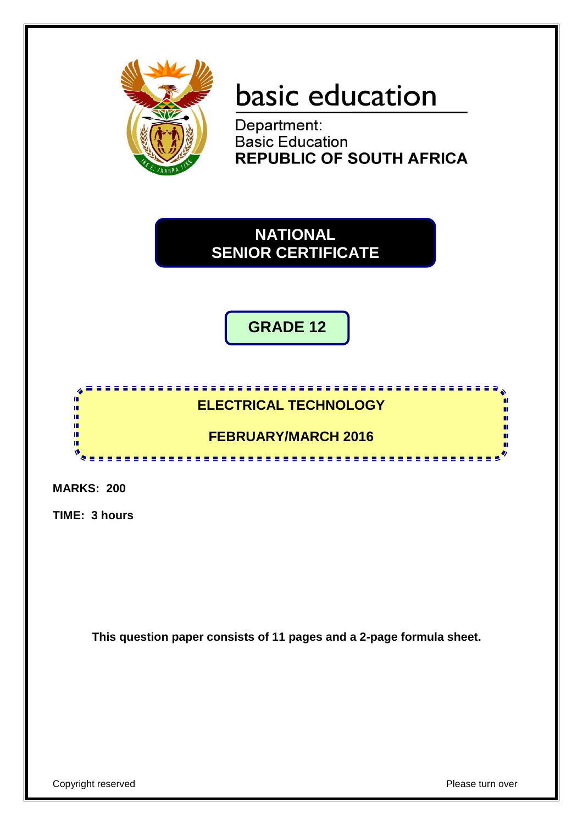

# basic education

Department:<br>Basic Education **REPUBLIC OF SOUTH AFRICA** 

**NATIONAL SENIOR CERTIFICATE**

**GRADE 12**

# **ELECTRICAL TECHNOLOGY**

**FEBRUARY/MARCH 2016**

.....................

**MARKS: 200**

T I. Ĩ. 庫 庫 N

**TIME: 3 hours**

**This question paper consists of 11 pages and a 2-page formula sheet.**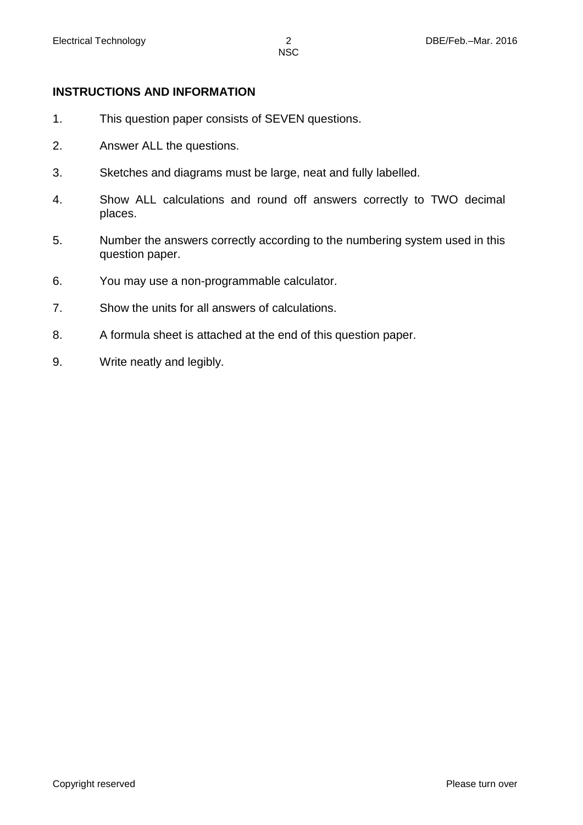#### **INSTRUCTIONS AND INFORMATION**

- 1. This question paper consists of SEVEN questions.
- 2. Answer ALL the questions.
- 3. Sketches and diagrams must be large, neat and fully labelled.
- 4. Show ALL calculations and round off answers correctly to TWO decimal places.
- 5. Number the answers correctly according to the numbering system used in this question paper.
- 6. You may use a non-programmable calculator.
- 7. Show the units for all answers of calculations.
- 8. A formula sheet is attached at the end of this question paper.
- 9. Write neatly and legibly.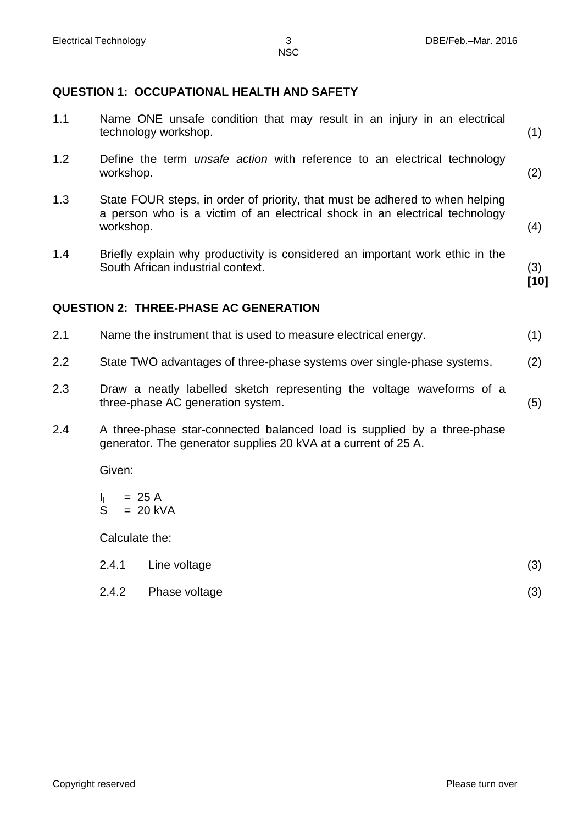#### **QUESTION 1: OCCUPATIONAL HEALTH AND SAFETY**

| 1.1 | Name ONE unsafe condition that may result in an injury in an electrical<br>technology workshop.                                                                          | (1)           |
|-----|--------------------------------------------------------------------------------------------------------------------------------------------------------------------------|---------------|
| 1.2 | Define the term <i>unsafe action</i> with reference to an electrical technology<br>workshop.                                                                             | (2)           |
| 1.3 | State FOUR steps, in order of priority, that must be adhered to when helping<br>a person who is a victim of an electrical shock in an electrical technology<br>workshop. | (4)           |
| 1.4 | Briefly explain why productivity is considered an important work ethic in the<br>South African industrial context.                                                       | (3)<br>$[10]$ |
|     | <b>QUESTION 2: THREE-PHASE AC GENERATION</b>                                                                                                                             |               |
| 2.1 | Name the instrument that is used to measure electrical energy.                                                                                                           | (1)           |
| 2.2 | State TWO advantages of three-phase systems over single-phase systems.                                                                                                   | (2)           |
| 2.3 | Draw a neatly labelled sketch representing the voltage waveforms of a                                                                                                    |               |

2.4 A three-phase star-connected balanced load is supplied by a three-phase generator. The generator supplies 20 kVA at a current of 25 A.

Given:

 $\mathbf{I}_{\mathbf{I}}$ S = 25 A = 20 kVA

Calculate the:

| Line voltage | (3) |
|--------------|-----|

2.4.2 Phase voltage (3)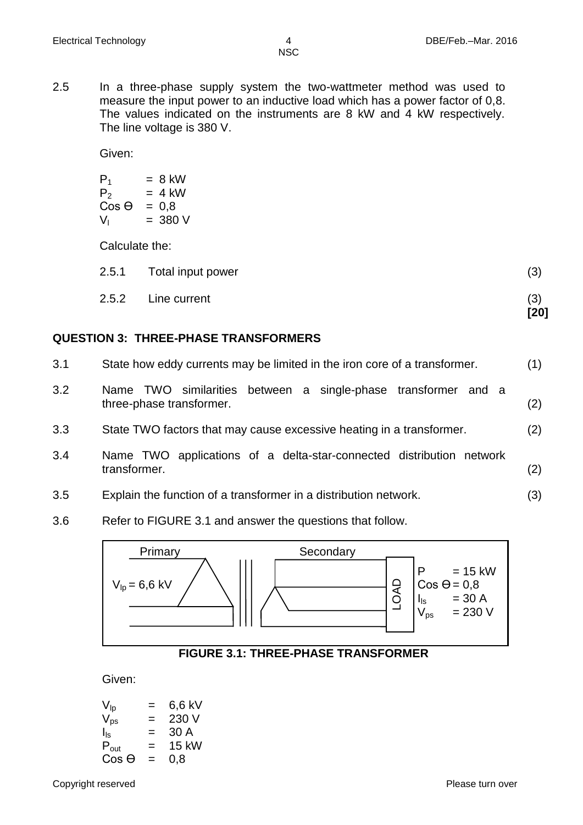**[20]**

**NSC** 

2.5 In a three-phase supply system the two-wattmeter method was used to measure the input power to an inductive load which has a power factor of 0,8. The values indicated on the instruments are 8 kW and 4 kW respectively. The line voltage is 380 V.

Given:

| $= 8$ kW |
|----------|
| = 4 kW   |
| $= 0.8$  |
| = 380 V  |
|          |

Calculate the:

| 2.5.1 Total input power | (3) |
|-------------------------|-----|
| 2.5.2 Line current      |     |

## **QUESTION 3: THREE-PHASE TRANSFORMERS**

| 3.1 | State how eddy currents may be limited in the iron core of a transformer.                     | (1) |
|-----|-----------------------------------------------------------------------------------------------|-----|
| 3.2 | TWO similarities between a single-phase transformer and a<br>Name<br>three-phase transformer. | (2) |
| 3.3 | State TWO factors that may cause excessive heating in a transformer.                          | (2) |
| 3.4 | Name TWO applications of a delta-star-connected distribution network<br>transformer.          | (2) |
| 3.5 | Explain the function of a transformer in a distribution network.                              | (3) |

3.6 Refer to FIGURE 3.1 and answer the questions that follow.



#### **FIGURE 3.1: THREE-PHASE TRANSFORMER**

Given:

| $\mathsf{V}_{\mathsf{lp}}$ | =   | 6,6 kV |
|----------------------------|-----|--------|
| $\mathsf{V}_{\mathsf{ps}}$ | =   | 230 V  |
| $I_{\text{ls}}$            | =   | 30 A   |
| $P_{out}$                  | =   | 15 kW  |
| $\cos\Theta$               | $=$ | 0,8    |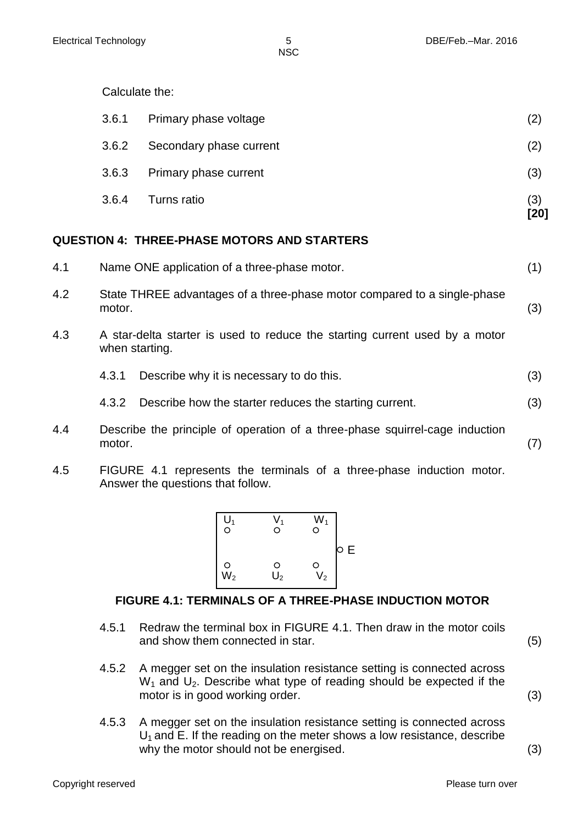Calculate the:

|       |                         | [20] |
|-------|-------------------------|------|
| 3.6.4 | Turns ratio             | (3)  |
| 3.6.3 | Primary phase current   | (3)  |
| 3.6.2 | Secondary phase current | (2)  |
| 3.6.1 | Primary phase voltage   | (2)  |

## **QUESTION 4: THREE-PHASE MOTORS AND STARTERS**

| 4.1 | Name ONE application of a three-phase motor.<br>(1)                                           |     |
|-----|-----------------------------------------------------------------------------------------------|-----|
| 4.2 | State THREE advantages of a three-phase motor compared to a single-phase<br>motor.            | (3) |
| 4.3 | A star-delta starter is used to reduce the starting current used by a motor<br>when starting. |     |
|     | Describe why it is necessary to do this.<br>4.3.1                                             | (3) |
|     | Describe how the starter reduces the starting current.<br>4.3.2                               | (3) |
| 4.4 | Describe the principle of operation of a three-phase squirrel-cage induction<br>motor.        | (7) |

4.5 FIGURE 4.1 represents the terminals of a three-phase induction motor. Answer the questions that follow.



# **FIGURE 4.1: TERMINALS OF A THREE-PHASE INDUCTION MOTOR**

- 4.5.1 Redraw the terminal box in FIGURE 4.1. Then draw in the motor coils and show them connected in star. (5)
- 4.5.2 A megger set on the insulation resistance setting is connected across  $W_1$  and  $U_2$ . Describe what type of reading should be expected if the motor is in good working order. (3)
- 4.5.3 A megger set on the insulation resistance setting is connected across  $U_1$  and E. If the reading on the meter shows a low resistance, describe why the motor should not be energised. (3)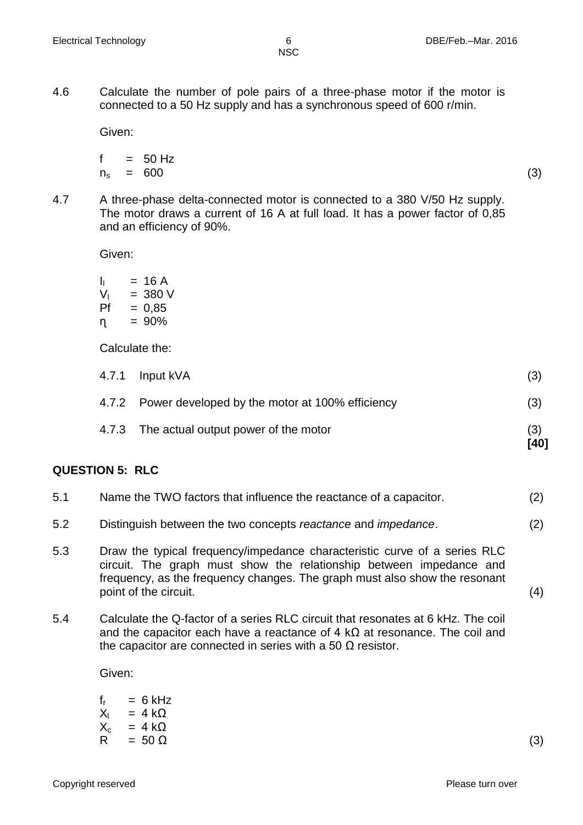4.6 Calculate the number of pole pairs of a three-phase motor if the motor is connected to a 50 Hz supply and has a synchronous speed of 600 r/min.

Given:

$$
f = 50 \text{ Hz}
$$
  

$$
n_s = 600 \tag{3}
$$

- 
- 4.7 A three-phase delta-connected motor is connected to a 380 V/50 Hz supply. The motor draws a current of 16 A at full load. It has a power factor of 0,85 and an efficiency of 90%.

Given:

| h. | = 16 A   |
|----|----------|
| V, | = 380 V  |
| Ρf | $= 0,85$ |
| η. | = 90%    |

Calculate the:

| 4.7.3 The actual output power of the motor            | (3)<br>1401 |
|-------------------------------------------------------|-------------|
| 4.7.2 Power developed by the motor at 100% efficiency | (3)         |
| 4.7.1 Input kVA                                       | (3)         |

# **QUESTION 5: RLC**

| 5.1 | Name the TWO factors that influence the reactance of a capacitor.     | (2) |
|-----|-----------------------------------------------------------------------|-----|
| 5.2 | Distinguish between the two concepts reactance and <i>impedance</i> . | (2) |

- 5.3 Draw the typical frequency/impedance characteristic curve of a series RLC circuit. The graph must show the relationship between impedance and frequency, as the frequency changes. The graph must also show the resonant point of the circuit. (4)
- 5.4 Calculate the Q-factor of a series RLC circuit that resonates at 6 kHz. The coil and the capacitor each have a reactance of 4 k $\Omega$  at resonance. The coil and the capacitor are connected in series with a 50  $Ω$  resistor.

Given:

|     | $f_r = 6 \text{ kHz}$ |     |
|-----|-----------------------|-----|
|     | $X_1 = 4 k\Omega$     |     |
|     | $X_c = 4 k\Omega$     |     |
| R — | $= 50 \Omega$         | (3) |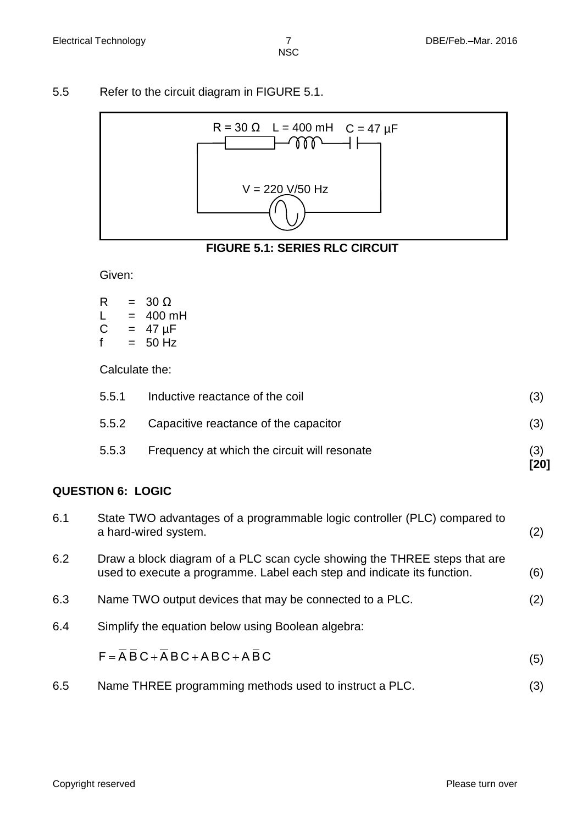### 5.5 Refer to the circuit diagram in FIGURE 5.1.



# **FIGURE 5.1: SERIES RLC CIRCUIT**

Given:

| R | $=$ | $30 \Omega$ |
|---|-----|-------------|
| L | $=$ | 400 mH      |
| С | $=$ | 47 µF       |
| f | $=$ | 50 Hz       |

Calculate the:

| 5.5.3          | Frequency at which the circuit will resonate                             | (3)<br>(3) |
|----------------|--------------------------------------------------------------------------|------------|
| 5.5.1<br>5.5.2 | Inductive reactance of the coil<br>Capacitive reactance of the capacitor | (3)        |

## **QUESTION 6: LOGIC**

| 6.1 | State TWO advantages of a programmable logic controller (PLC) compared to<br>a hard-wired system.                                                    | (2) |
|-----|------------------------------------------------------------------------------------------------------------------------------------------------------|-----|
| 6.2 | Draw a block diagram of a PLC scan cycle showing the THREE steps that are<br>used to execute a programme. Label each step and indicate its function. | (6) |
| 6.3 | Name TWO output devices that may be connected to a PLC.                                                                                              | (2) |
| 6.4 | Simplify the equation below using Boolean algebra:                                                                                                   |     |
|     | $F = \overline{A} \overline{B} C + \overline{A} B C + A B C + A \overline{B} C$                                                                      | (5) |
| 6.5 | Name THREE programming methods used to instruct a PLC.                                                                                               | (3) |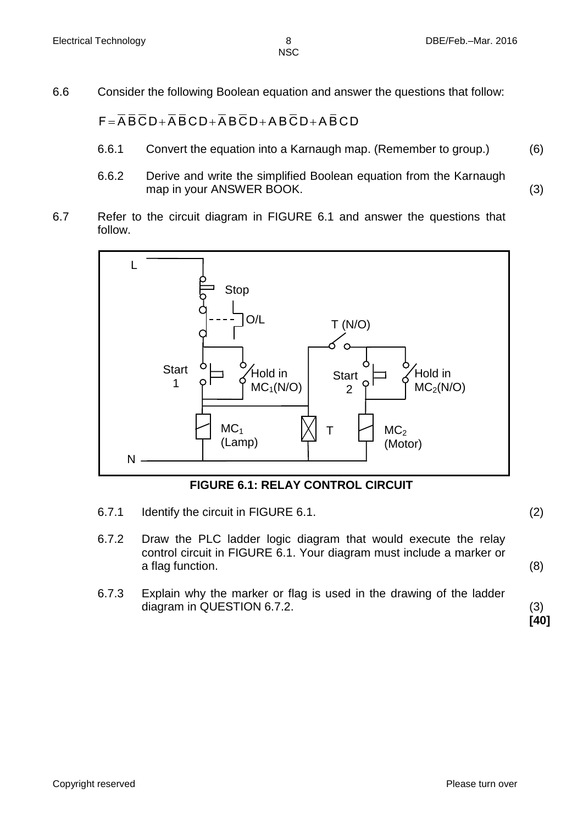6.6 Consider the following Boolean equation and answer the questions that follow:

 $F = \overline{AB} \overline{C} D + \overline{A} \overline{B} C D + \overline{A} B \overline{C} D + AB \overline{C} D + \overline{A} \overline{B} C D$ 

- 6.6.1 Convert the equation into a Karnaugh map. (Remember to group.) (6)
- 6.6.2 Derive and write the simplified Boolean equation from the Karnaugh map in your ANSWER BOOK. (3)
- 6.7 Refer to the circuit diagram in FIGURE 6.1 and answer the questions that follow.



**FIGURE 6.1: RELAY CONTROL CIRCUIT**

- 6.7.1 Identify the circuit in FIGURE 6.1. (2)
- 6.7.2 Draw the PLC ladder logic diagram that would execute the relay control circuit in FIGURE 6.1. Your diagram must include a marker or a flag function. (8)
- 6.7.3 Explain why the marker or flag is used in the drawing of the ladder diagram in QUESTION 6.7.2. (3)

**[40]**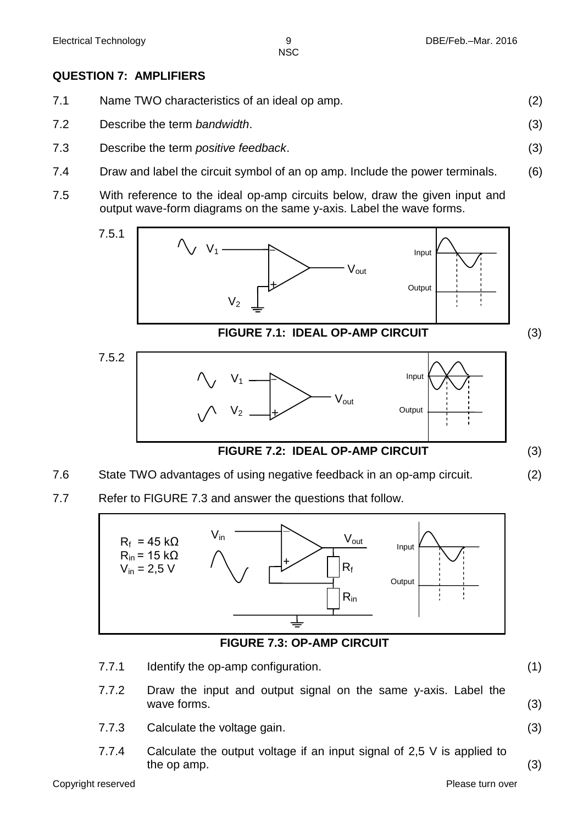# **QUESTION 7: AMPLIFIERS**

| 7.1 | Name TWO characteristics of an ideal op amp. |  |
|-----|----------------------------------------------|--|
|     |                                              |  |

- 7.2 Describe the term *bandwidth*. (3)
- 7.3 Describe the term *positive feedback*. (3)
- 7.4 Draw and label the circuit symbol of an op amp. Include the power terminals. (6)
- 7.5 With reference to the ideal op-amp circuits below, draw the given input and output wave-form diagrams on the same y-axis. Label the wave forms.



- 7.6 State TWO advantages of using negative feedback in an op-amp circuit. (2)
- 7.7 Refer to FIGURE 7.3 and answer the questions that follow.



# **FIGURE 7.3: OP-AMP CIRCUIT**

- 7.7.1 Identify the op-amp configuration. (1)
	-
	- 7.7.2 Draw the input and output signal on the same y-axis. Label the wave forms. (3)
	- 7.7.3 Calculate the voltage gain. (3)
	- 7.7.4 Calculate the output voltage if an input signal of 2,5 V is applied to the op amp.  $(3)$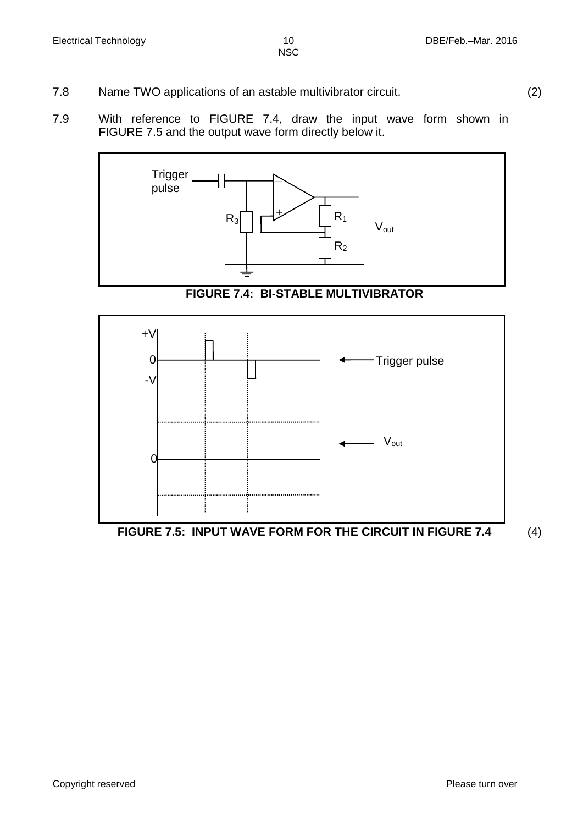- 7.8 Name TWO applications of an astable multivibrator circuit. (2)
- 7.9 With reference to FIGURE 7.4, draw the input wave form shown in FIGURE 7.5 and the output wave form directly below it.



**FIGURE 7.4: BI-STABLE MULTIVIBRATOR**



**FIGURE 7.5: INPUT WAVE FORM FOR THE CIRCUIT IN FIGURE 7.4** (4)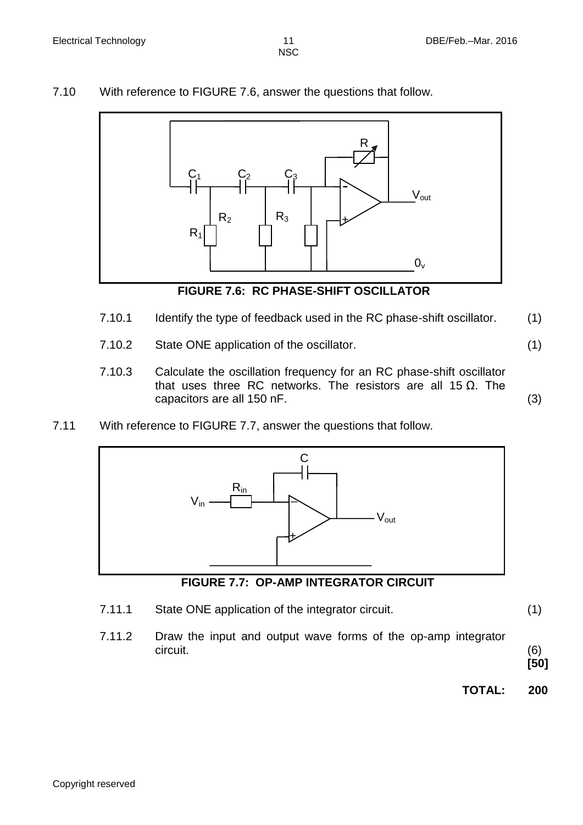7.10 With reference to FIGURE 7.6, answer the questions that follow.



**FIGURE 7.6: RC PHASE-SHIFT OSCILLATOR**

- 7.10.1 Identify the type of feedback used in the RC phase-shift oscillator. (1)
- 7.10.2 State ONE application of the oscillator. (1)
- 7.10.3 Calculate the oscillation frequency for an RC phase-shift oscillator that uses three RC networks. The resistors are all 15  $Ω$ . The capacitors are all 150 nF. (3)
- 7.11 With reference to FIGURE 7.7, answer the questions that follow.



# **FIGURE 7.7: OP-AMP INTEGRATOR CIRCUIT**

- 7.11.1 State ONE application of the integrator circuit. (1)
- 7.11.2 Draw the input and output wave forms of the op-amp integrator circuit. (6)

**[50]**

**TOTAL: 200**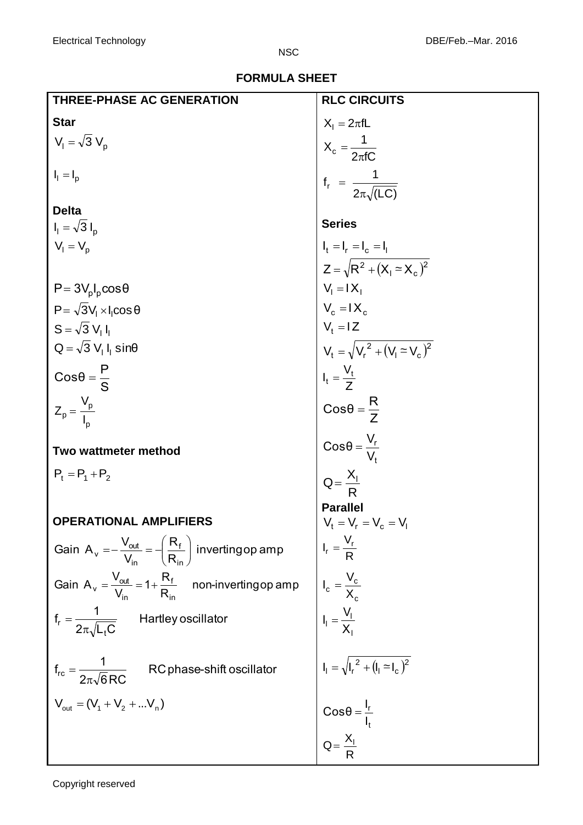|  | <b>FORMULA SHEET</b> |  |
|--|----------------------|--|
|  |                      |  |

| <b>THREE-PHASE AC GENERATION</b>                                                                                                                                                                                                                                                                                                                         | <b>RLC CIRCUITS</b>                                                                                                                                                                                                                                                                     |
|----------------------------------------------------------------------------------------------------------------------------------------------------------------------------------------------------------------------------------------------------------------------------------------------------------------------------------------------------------|-----------------------------------------------------------------------------------------------------------------------------------------------------------------------------------------------------------------------------------------------------------------------------------------|
| <b>Star</b>                                                                                                                                                                                                                                                                                                                                              |                                                                                                                                                                                                                                                                                         |
| $V_1 = \sqrt{3} V_p$                                                                                                                                                                                                                                                                                                                                     |                                                                                                                                                                                                                                                                                         |
| $I_1 = I_p$                                                                                                                                                                                                                                                                                                                                              | $X_1 = 2\pi fL$<br>$X_c = \frac{1}{2\pi fC}$<br>$f_r = \frac{1}{2\pi\sqrt{(LC)}}$                                                                                                                                                                                                       |
| <b>Delta</b>                                                                                                                                                                                                                                                                                                                                             |                                                                                                                                                                                                                                                                                         |
| $I_1 = \sqrt{3} I_p$                                                                                                                                                                                                                                                                                                                                     | <b>Series</b>                                                                                                                                                                                                                                                                           |
| $V_1 = V_p$                                                                                                                                                                                                                                                                                                                                              |                                                                                                                                                                                                                                                                                         |
|                                                                                                                                                                                                                                                                                                                                                          |                                                                                                                                                                                                                                                                                         |
| $P = 3V_pI_p \cos\theta$                                                                                                                                                                                                                                                                                                                                 |                                                                                                                                                                                                                                                                                         |
| $P = \sqrt{3}V_1 \times I_1 \cos \theta$                                                                                                                                                                                                                                                                                                                 |                                                                                                                                                                                                                                                                                         |
| $S = \sqrt{3} V_1 I_1$                                                                                                                                                                                                                                                                                                                                   |                                                                                                                                                                                                                                                                                         |
| $Q = \sqrt{3} V_1 I_1 \sin\theta$                                                                                                                                                                                                                                                                                                                        |                                                                                                                                                                                                                                                                                         |
| $Cos\theta = \frac{P}{S}$                                                                                                                                                                                                                                                                                                                                |                                                                                                                                                                                                                                                                                         |
| $Z_p = \frac{V_p}{I}$                                                                                                                                                                                                                                                                                                                                    | $I_t = I_r = I_c = I_l$<br>$Z = \sqrt{R^2 + (X_l \approx X_c)^2}$<br>$V_l = IX_l$<br>$V_c = IX_c$<br>$V_t = IZ$<br>$V_t = \sqrt{V_r^2 + (V_l \approx V_c)^2}$<br>$I_t = \frac{V_t}{Z}$<br>$Cos\theta = \frac{R}{Z}$<br>$Cos\theta = \frac{V_r}{V_t}$<br>$Q = \frac{X_l}{R}$<br>Parallel |
|                                                                                                                                                                                                                                                                                                                                                          |                                                                                                                                                                                                                                                                                         |
|                                                                                                                                                                                                                                                                                                                                                          |                                                                                                                                                                                                                                                                                         |
|                                                                                                                                                                                                                                                                                                                                                          |                                                                                                                                                                                                                                                                                         |
|                                                                                                                                                                                                                                                                                                                                                          |                                                                                                                                                                                                                                                                                         |
|                                                                                                                                                                                                                                                                                                                                                          |                                                                                                                                                                                                                                                                                         |
|                                                                                                                                                                                                                                                                                                                                                          |                                                                                                                                                                                                                                                                                         |
|                                                                                                                                                                                                                                                                                                                                                          |                                                                                                                                                                                                                                                                                         |
| eter method<br><sup>2</sup> <sub>2</sub><br>(ATIONAL AMPLIFIERS<br>in A <sub>y</sub> = $\frac{V_{od}}{V_{in}} = \left(\frac{R_t}{R_{in}}\right)$ inverting op amp<br>Gain A <sub>y</sub> = $\frac{V_{od}}{V_{in}} = 1 + \frac{R_t}{R_{in}}$ non-inverting op amp<br>$\frac{1}{V_{in}} = \frac{V_c}{V_c}$<br>$\frac{1}{V_{in}}$ Hartley oscillator<br>$\$ |                                                                                                                                                                                                                                                                                         |
|                                                                                                                                                                                                                                                                                                                                                          |                                                                                                                                                                                                                                                                                         |
|                                                                                                                                                                                                                                                                                                                                                          |                                                                                                                                                                                                                                                                                         |